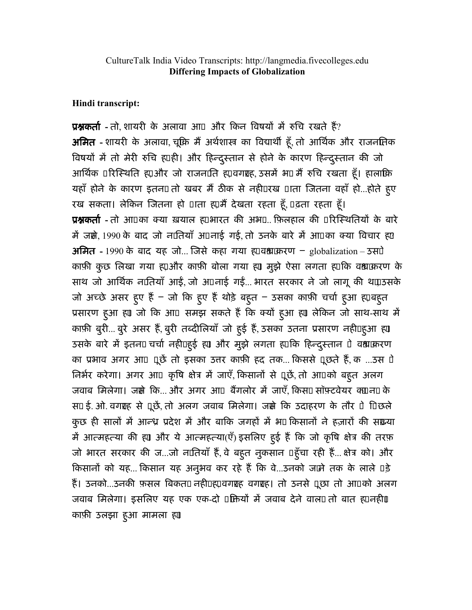Hindi transcript:

**प्रश्नकर्ता** - तो, शायरी के अलावा आ¤ और किन विषयों में रुचि रखते हैं? अमित - शायरी के अलावा, चूंकि मैं अर्थशास्त्र का विद्यार्थी हूँ, तो आर्थिक और राजनमिक विषयों में तो मेरी रुचि ह़ाही। और हिन्दुस्तान से होने के कारण हिन्दुस्तान की जो आर्थिक परिस्थिति ह़्य और जो राजनाति ह्य़वगशह, उसमें भए मैं रुचि रखता हूँ। हालांकि यहाँ होने के कारण इतन $0$ तो खबर मैं ठीक से नही $0$ रख  $0$ ाता जितना वहाँ हो...होते हुए रख सकता। लेकिन जितना हो पाता ह़ामैं देखता रहता हूँ, पढ़ता रहता हूँ। **प्रश्नकर्ता -** तो आ□का क्या ख़याल ह़़्ाभारत की अभ□.. फ़िलहाल की □रिस्थितियों के बारे में जस्रे 1990 के बाद जो नातियाँ अपनाई गई, तो उनके बारे में आपका क्या विचार ह़0 अमित - 1990 के बाद यह जो... जिसे कहा गया ह $\Box$ वश्वाकरण - globalization – उसपे काफ़ी कुछ लिखा गया ह़ाओर काफ़ी बोला गया ह़ा मुझे ऐसा लगता ह़ाकि वश्वाक़रण के साथ जो आर्थिक नातियाँ आई, जो अपनाई गई... भारत सरकार ने जो लागू की थपाउसके जो अच्छे असर हुए हैं – जो कि हुए हैं थोड़े बहुत – ठसका काफ़ी चर्चा हुआ ह़्याबहुत प्रसारण हुआ ह़ा जो कि आ¤ समझ सकते हैं कि क्यों हुआ ह़ा लेकिन जो साथ-साथ में काफ़ी बुरी... बुरे असर हैं, बुरी तब्दीलियाँ जो हुई हैं, उसका उतना प्रसारण नहीं हुआ ह़ा उसके बारे में इतना चर्चा नहीं हुई ह़ा और मुझे लगता ह़ाकि हिन्दुस्तान पे वश्वाकरण का प्रभाव अगर आ¤ पूछें तो इसका उत्तर काफ़ी हद तक... किससे पूछते हैं, क ...उस पे तिर्भर करेगा। अगर आ□ कृषि क्षेत्र में जाएँ, किसानों से पूछें, तो आ□को बहुत अलग जवाब मिलेगा। जस्रे कि... और अगर आ¤ बैंगलोर में जाएँ, किस¤ सॉफ़्टवेयर क्यान¤ के स0 ई. ओ. वगशह से पूछें, तो अलग जवाब मिलेगा। जस्रो कि उदाहरण के तौर 0े पिछले कुछ ही सालों में आन्ध्र प्रदेश में और बाकि जगहों में भा किसानों ने हज़ारों की संख्या में आत्महत्या की ह़ा और ये आत्महत्या(एँ) इसलिए हुई हैं कि जो कृषि क्षेत्र की तरफ़ जो भारत सरकार की ज...जो नातियाँ हैं, वे बह्त नुकसान पहूँचा रही हैं... क्षेत्र को। और किसानों को यह... किसान यह अनुभव कर रहे हैं कि वे...उनको जामे तक के लाले **0**ड़े हैं। उनको...उनकी फ़सल बिकत0 नही0ह0़वगश्चह वगश्चह। तो उनसे पूछा तो आ0को अलग जवाब मिलेगा। इसलिए यह एक एक-दो पक्तियों में जवाब देने वाल0 तो बात ह़ानहीं। काफ़ी उलझा हुआ मामला ह्या